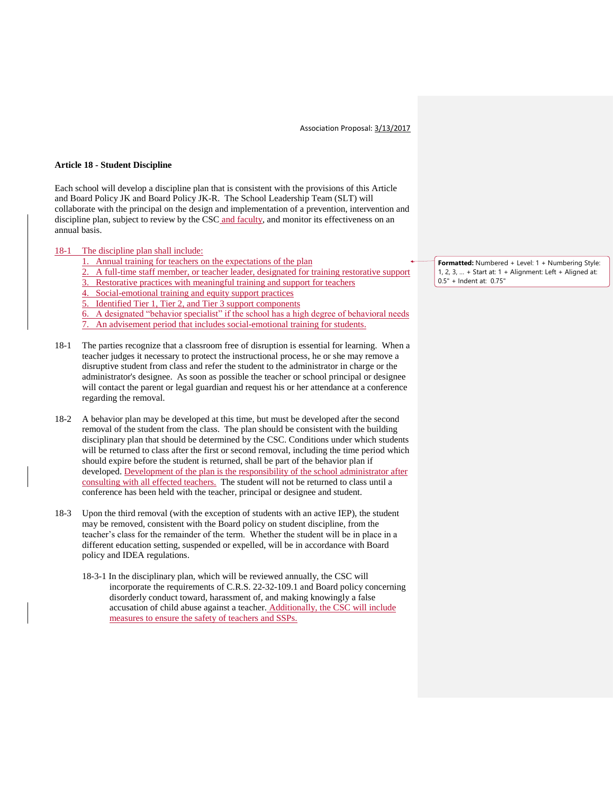Association Proposal: 3/13/2017

## **Article 18 - Student Discipline**

Each school will develop a discipline plan that is consistent with the provisions of this Article and Board Policy JK and Board Policy JK-R. The School Leadership Team (SLT) will collaborate with the principal on the design and implementation of a prevention, intervention and discipline plan, subject to review by the CSC and faculty, and monitor its effectiveness on an annual basis.

## 18-1 The discipline plan shall include:

- 1. Annual training for teachers on the expectations of the plan
- 2. A full-time staff member, or teacher leader, designated for training restorative support
- 3. Restorative practices with meaningful training and support for teachers
- 4. Social-emotional training and equity support practices
- 5. Identified Tier 1, Tier 2, and Tier 3 support components

6. A designated "behavior specialist" if the school has a high degree of behavioral needs

- An advisement period that includes social-emotional training for students.
- 18-1 The parties recognize that a classroom free of disruption is essential for learning. When a teacher judges it necessary to protect the instructional process, he or she may remove a disruptive student from class and refer the student to the administrator in charge or the administrator's designee. As soon as possible the teacher or school principal or designee will contact the parent or legal guardian and request his or her attendance at a conference regarding the removal.
- 18-2 A behavior plan may be developed at this time, but must be developed after the second removal of the student from the class. The plan should be consistent with the building disciplinary plan that should be determined by the CSC. Conditions under which students will be returned to class after the first or second removal, including the time period which should expire before the student is returned, shall be part of the behavior plan if developed. Development of the plan is the responsibility of the school administrator after consulting with all effected teachers. The student will not be returned to class until a conference has been held with the teacher, principal or designee and student.
- 18-3 Upon the third removal (with the exception of students with an active IEP), the student may be removed, consistent with the Board policy on student discipline, from the teacher's class for the remainder of the term. Whether the student will be in place in a different education setting, suspended or expelled, will be in accordance with Board policy and IDEA regulations.
	- 18-3-1 In the disciplinary plan, which will be reviewed annually, the CSC will incorporate the requirements of C.R.S. 22-32-109.1 and Board policy concerning disorderly conduct toward, harassment of, and making knowingly a false accusation of child abuse against a teacher. Additionally, the CSC will include measures to ensure the safety of teachers and SSPs.

**Formatted:** Numbered + Level: 1 + Numbering Style: 1, 2, 3, … + Start at: 1 + Alignment: Left + Aligned at: 0.5" + Indent at: 0.75"